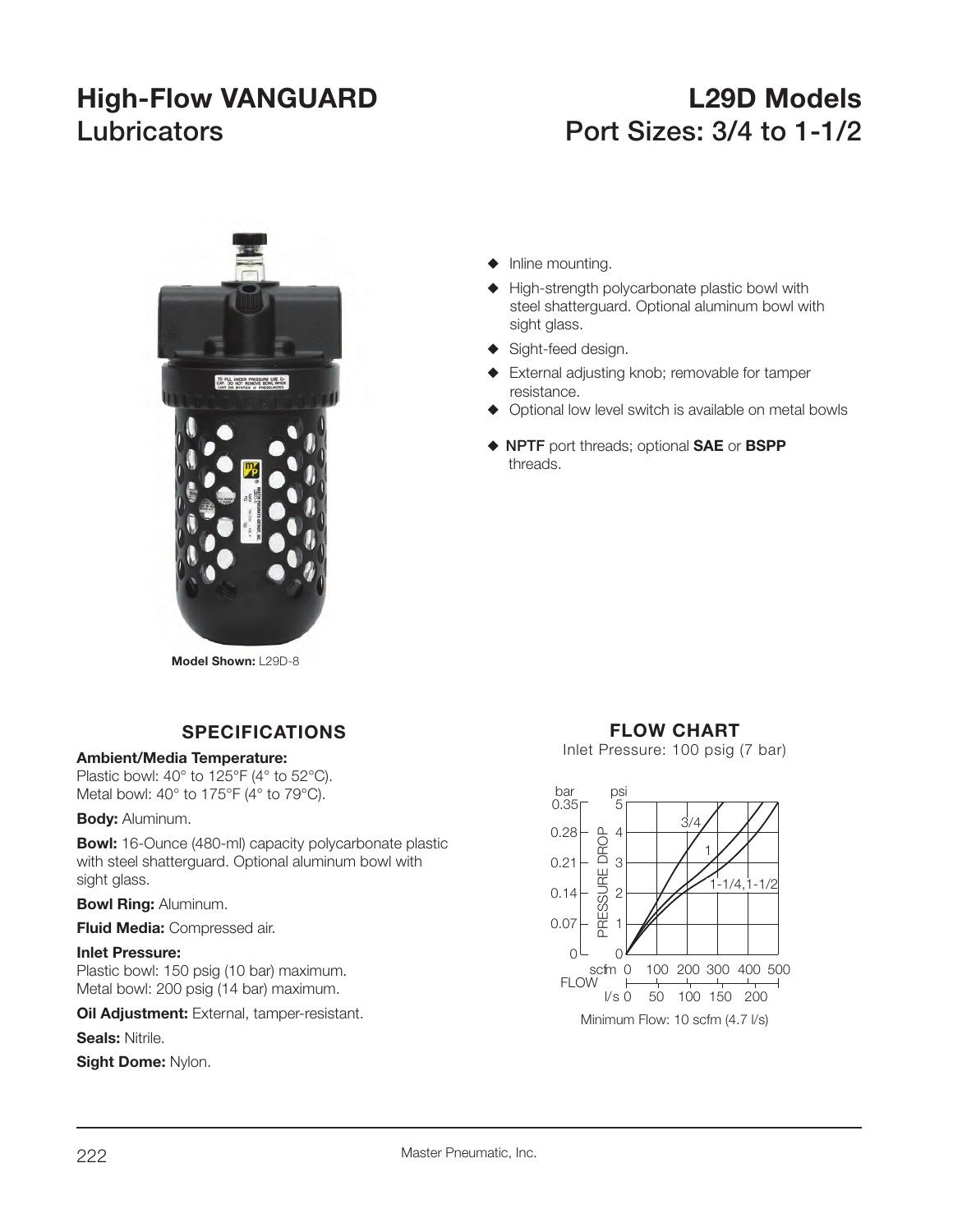# **High-Flow VANGUARD L29D Models Lubricators Port Sizes: 3/4 to 1-1/2**



- $\blacklozenge$  Inline mounting.
- $\blacklozenge$  High-strength polycarbonate plastic bowl with steel shatterguard. Optional aluminum bowl with sight glass.
- $\blacklozenge$  Sight-feed design.
- External adjusting knob; removable for tamper resistance.
- $\blacklozenge$  Optional low level switch is available on metal bowls
- S **NPTF** port threads; optional **SAE** or **BSPP** threads.

**Model Shown:** L29D-8

# **SPECIFICATIONS**

# **Ambient/Media Temperature:**

Plastic bowl: 40° to 125°F (4° to 52°C). Metal bowl: 40° to 175°F (4° to 79°C).

### **Body:** Aluminum.

**Bowl:** 16-Ounce (480-ml) capacity polycarbonate plastic with steel shatterguard. Optional aluminum bowl with sight glass.

**Bowl Ring:** Aluminum.

**Fluid Media:** Compressed air.

## **Inlet Pressure:**

Plastic bowl: 150 psig (10 bar) maximum. Metal bowl: 200 psig (14 bar) maximum.

**Oil Adjustment:** External, tamper-resistant.

**Seals:** Nitrile.

**Sight Dome:** Nylon.

# **FLOW CHART**

Inlet Pressure: 100 psig (7 bar)

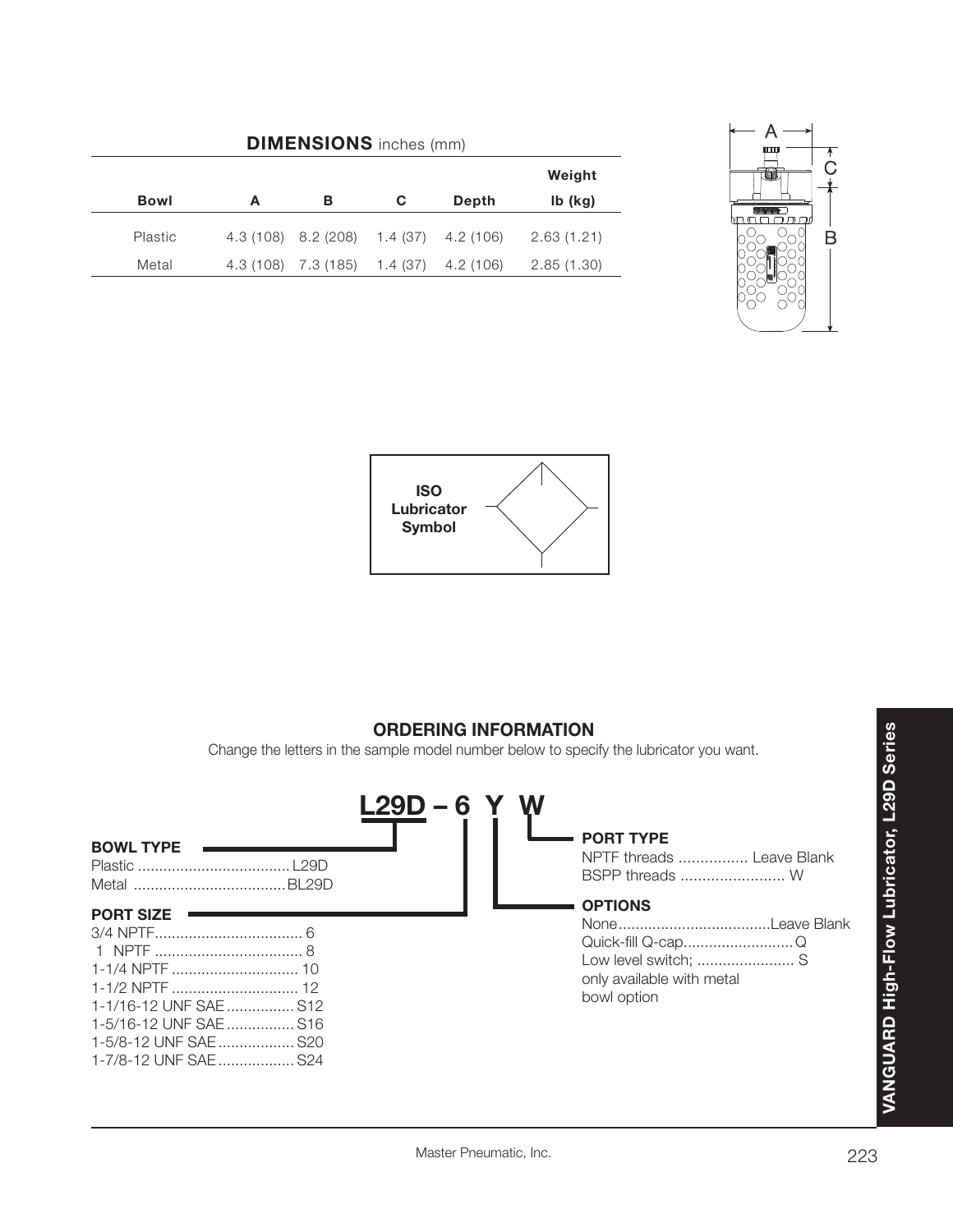| <b>DIMENSIONS</b> inches (mm) |   |                     |          |           |            |  |
|-------------------------------|---|---------------------|----------|-----------|------------|--|
|                               |   |                     |          |           | Weight     |  |
| <b>Bowl</b>                   | А | в                   | C        | Depth     | $Ib$ (kg)  |  |
| Plastic                       |   | 4.3 (108) 8.2 (208) | 1.4(37)  | 4.2 (106) | 2.63(1.21) |  |
| Metal                         |   | 4.3 (108) 7.3 (185) | 1.4 (37) | 4.2 (106) | 2.85(1.30) |  |





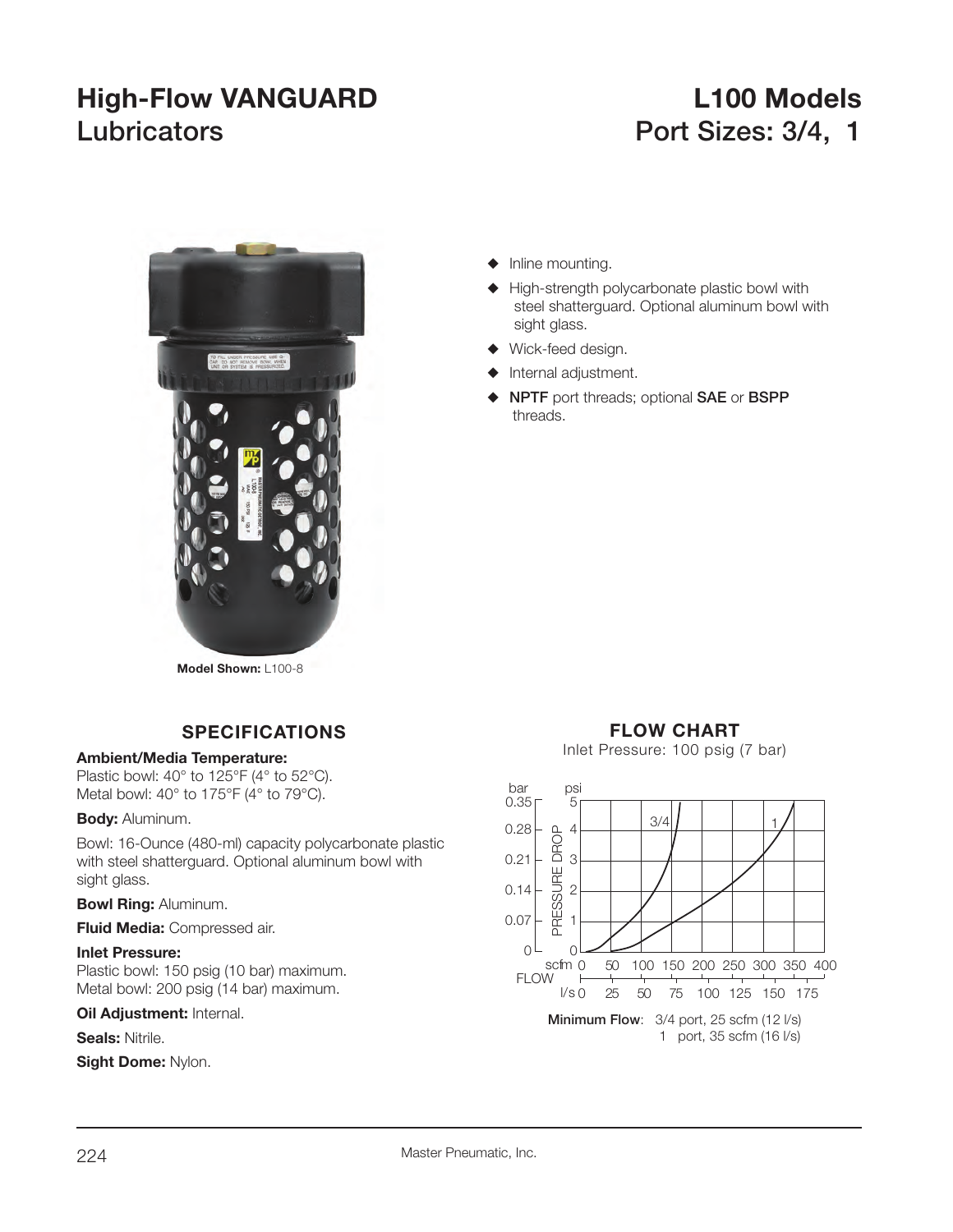# **High-Flow VANGUARD L100 Models** Lubricators **Port Sizes: 3/4, 1**



**Model Shown:** L100-8

# **SPECIFICATIONS**

### **Ambient/Media Temperature:**

Plastic bowl: 40° to 125°F (4° to 52°C). Metal bowl: 40° to 175°F (4° to 79°C).

### **Body:** Aluminum.

Bowl: 16-Ounce (480-ml) capacity polycarbonate plastic with steel shatterguard. Optional aluminum bowl with sight glass.

# **Bowl Ring:** Aluminum.

**Fluid Media:** Compressed air.

## **Inlet Pressure:**

Plastic bowl: 150 psig (10 bar) maximum. Metal bowl: 200 psig (14 bar) maximum.

### **Oil Adjustment: Internal.**

**Seals:** Nitrile.

**Sight Dome:** Nylon.

# $\blacklozenge$  Inline mounting.

- $\blacklozenge$  High-strength polycarbonate plastic bowl with steel shatterguard. Optional aluminum bowl with sight glass.
- $\blacklozenge$  Wick-feed design.
- Internal adjustment.
- S **NPTF** port threads; optional **SAE** or **BSPP** threads.

# **FLOW CHART**

Inlet Pressure: 100 psig (7 bar)